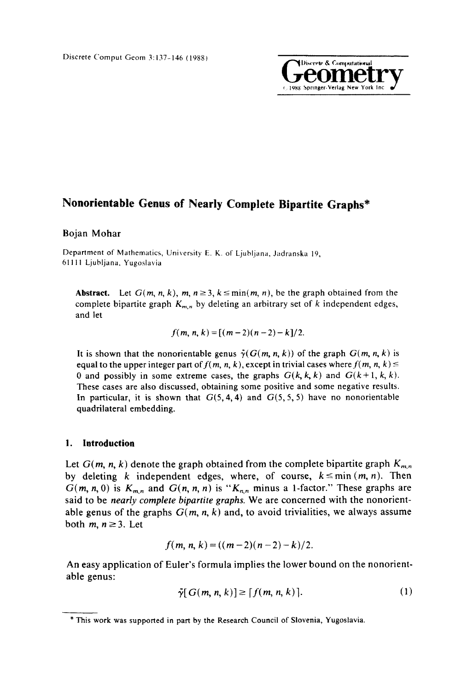

# **Nonorientable Genus of Nearly Complete Bipartite Graphs\***

# Bojan Mohar

Department of Mathematics, University E. K. of Ljubljana, Jadranska 19, 61111 Ljubljana. Yugoslavia

**Abstract.** Let  $G(m, n, k)$ ,  $m, n \geq 3$ ,  $k \leq min(m, n)$ , be the graph obtained from the complete bipartite graph  $K_{m,n}$  by deleting an arbitrary set of k independent edges, and let

$$
f(m, n, k) = [(m-2)(n-2) - k]/2.
$$

It is shown that the nonorientable genus  $\tilde{\gamma}(G(m, n, k))$  of the graph  $G(m, n, k)$  is equal to the upper integer part of  $f(m, n, k)$ , except in trivial cases where  $f(m, n, k) \le$ 0 and possibly in some extreme cases, the graphs  $G(k, k, k)$  and  $G(k+1, k, k)$ . These cases are also discussed, obtaining some positive and some negative results. In particular, it is shown that  $G(5, 4, 4)$  and  $G(5, 5, 5)$  have no nonorientable quadrilateral embedding.

# 1. **Introduction**

Let  $G(m, n, k)$  denote the graph obtained from the complete bipartite graph  $K_{m,n}$ by deleting k independent edges, where, of course,  $k \leq min(m, n)$ . Then  $G(m, n, 0)$  is  $K_{m,n}$  and  $G(n, n, n)$  is " $K_{n,n}$  minus a 1-factor." These graphs are said to be *nearly complete bipartite graphs,* We are concerned with the nonorientable genus of the graphs  $G(m, n, k)$  and, to avoid trivialities, we always assume both  $m, n \geq 3$ . Let

$$
f(m, n, k) = ((m-2)(n-2) - k)/2.
$$

An easy application of Euler's formula implies the lower bound on the nonorientable genus:

$$
\tilde{\gamma}[G(m, n, k)] \ge [f(m, n, k)]. \tag{1}
$$

<sup>\*</sup> This work was supported in part by the Research Council of Slovenia, Yugoslavia.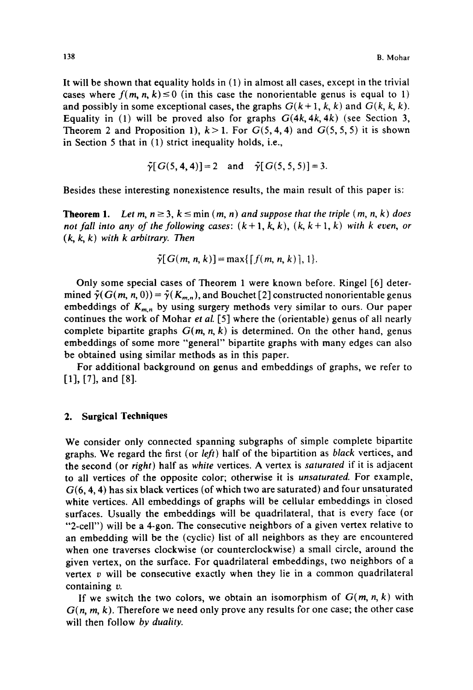It will be shown that equality holds in (1) in almost all cases, except in the trivial cases where  $f(m, n, k) \le 0$  (in this case the nonorientable genus is equal to 1) and possibly in some exceptional cases, the graphs  $G(k+1, k, k)$  and  $G(k, k, k)$ . Equality in (1) will be proved also for graphs *G(4k, 4k, 4k)* (see Section 3, Theorem 2 and Proposition 1),  $k>1$ . For  $G(5, 4, 4)$  and  $G(5, 5, 5)$  it is shown in Section 5 that in (1) strict inequality holds, i.e.,

$$
\tilde{\gamma}[G(5, 4, 4)] = 2
$$
 and  $\tilde{\gamma}[G(5, 5, 5)] = 3$ .

Besides these interesting nonexistence results, the main result of this paper is:

**Theorem 1.** Let m,  $n \geq 3$ ,  $k \leq \min(m, n)$  and suppose that the triple  $(m, n, k)$  does *not fall into any of the following cases:*  $(k+1, k, k)$ ,  $(k, k+1, k)$  with k even, or *( k, k, k) with k arbitrary. Then* 

$$
\tilde{\gamma}[G(m, n, k)] = \max\{[f(m, n, k)], 1\}.
$$

Only some special cases of Theorem 1 were known before. Ringel [6] determined  $\tilde{\gamma}(G(m, n, 0)) = \tilde{\gamma}(K_{m,n})$ , and Bouchet [2] constructed nonorientable genus embeddings of  $K_{m,n}$  by using surgery methods very similar to ours. Our paper continues the work of Mohar *et al.* [5] where the (orientable) genus of all nearly complete bipartite graphs  $G(m, n, k)$  is determined. On the other hand, genus embeddings of some more "general" bipartite graphs with many edges can also be obtained using similar methods as in this paper.

For additional background on genus and embeddings of graphs, we refer to [1], [7], and [8].

## **2. Surgical Techniques**

We consider only connected spanning subgraphs of simple complete bipartite graphs. We regard the first (or *left)* half of the bipartition as *black* vertices, and the second (or *right)* half as *white* vertices. A vertex is *saturated* if it is adjacent to all vertices of the opposite color; otherwise it is *unsaturated.* For example,  $G(6, 4, 4)$  has six black vertices (of which two are saturated) and four unsaturated white vertices. All embeddings of graphs will be cellular embeddings in closed surfaces. Usually the embeddings will be quadrilateral, that is every face (or "2-celr') will be a 4-gon. The consecutive neighbors of a given vertex relative to an embedding will be the (cyclic) list of all neighbors as they are encountered when one traverses clockwise (or counterclockwise) a small circle, around the given vertex, on the surface. For quadrilateral embeddings, two neighbors of a vertex  $v$  will be consecutive exactly when they lie in a common quadrilateral containing v.

If we switch the two colors, we obtain an isomorphism of  $G(m, n, k)$  with *G(n, m, k).* Therefore we need only prove any results for one case; the other case will then follow *by duality.*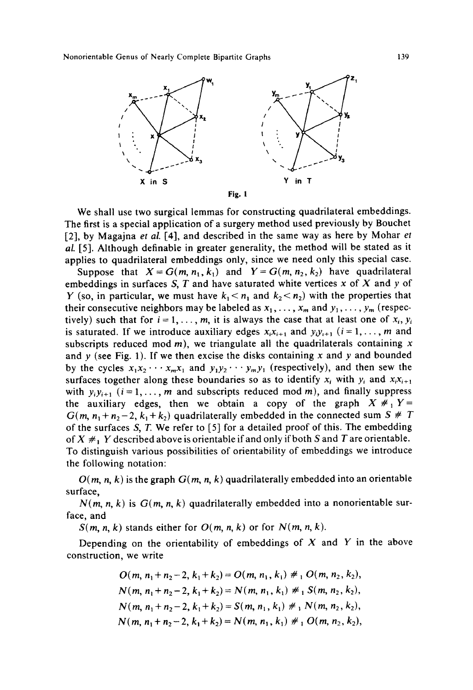Nonorientable Genus of Nearly Complete Bipartite Graphs 139



We shall use two surgical lemmas for constructing quadrilateral embeddings. The first is a special application of a surgery method used previously by Bouchet [2], by Magajna *et al.* [4], and described in the same way as here by Mohar *et al.* [5]. Although definable in greater generality, the method will be stated as it applies to quadrilateral embeddings only, since we need only this special case.

Suppose that  $X = G(m, n_1, k_1)$  and  $Y = G(m, n_2, k_2)$  have quadrilateral embeddings in surfaces S, T and have saturated white vertices x of X and y of Y (so, in particular, we must have  $k_1 < n_1$  and  $k_2 < n_2$ ) with the properties that their consecutive neighbors may be labeled as  $x_1, \ldots, x_m$  and  $y_1, \ldots, y_m$  (respectively) such that for  $i = 1, ..., m$ , it is always the case that at least one of  $x_i, y_i$ is saturated. If we introduce auxiliary edges  $x_i x_{i+1}$  and  $y_i y_{i+1}$  ( $i = 1, ..., m$  and subscripts reduced mod  $m$ ), we triangulate all the quadrilaterals containing x and  $y$  (see Fig. 1). If we then excise the disks containing  $x$  and  $y$  and bounded by the cycles  $x_1x_2 \cdots x_mx_1$  and  $y_1y_2 \cdots y_my_j$  (respectively), and then sew the surfaces together along these boundaries so as to identify  $x_i$  with  $y_i$  and  $x_i x_{i+1}$ with  $y_i y_{i+1}$  ( $i = 1, ..., m$  and subscripts reduced mod m), and finally suppress the auxiliary edges, then we obtain a copy of the graph  $X \neq Y$  $G(m, n_1 + n_2 - 2, k_1 + k_2)$  quadrilaterally embedded in the connected sum S # T of the surfaces S, T. We refer to [5] for a detailed proof of this. The embedding of  $X \neq Y$  described above is orientable if and only if both S and T are orientable. To distinguish various possibilities of orientability of embeddings we introduce the following notation:

 $O(m, n, k)$  is the graph  $G(m, n, k)$  quadrilaterally embedded into an orientable surface,

 $N(m, n, k)$  is  $G(m, n, k)$  quadrilaterally embedded into a nonorientable surface, and

 $S(m, n, k)$  stands either for  $O(m, n, k)$  or for  $N(m, n, k)$ .

Depending on the orientability of embeddings of  $X$  and  $Y$  in the above construction, we write

$$
O(m, n_1 + n_2 - 2, k_1 + k_2) = O(m, n_1, k_1) \neq 1 \ O(m, n_2, k_2),
$$
  
\n
$$
N(m, n_1 + n_2 - 2, k_1 + k_2) = N(m, n_1, k_1) \neq 1 \ S(m, n_2, k_2),
$$
  
\n
$$
N(m, n_1 + n_2 - 2, k_1 + k_2) = S(m, n_1, k_1) \neq 1 \ N(m, n_2, k_2),
$$
  
\n
$$
N(m, n_1 + n_2 - 2, k_1 + k_2) = N(m, n_1, k_1) \neq 1 \ O(m, n_2, k_2),
$$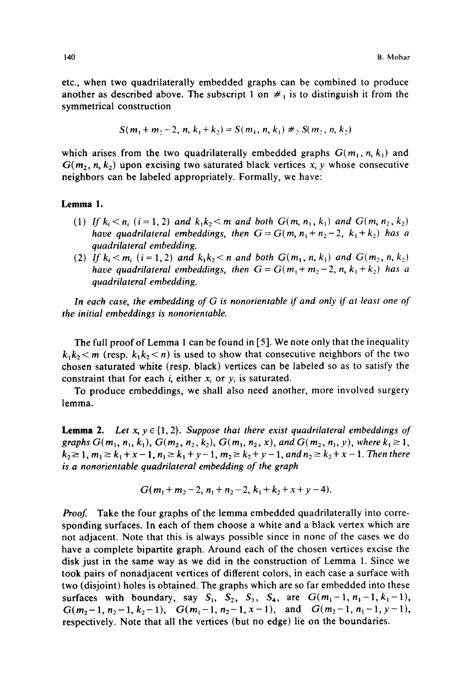etc., when two quadrilaterally embedded graphs can be combined to produce another as described above. The subscript 1 on  $\#_1$  is to distinguish it from the symmetrical construction

$$
S(m_1 + m_2 - 2, n, k_1 + k_2) = S(m_1, n, k_1) \neq S(m_2, n, k_2)
$$

which arises from the two quadrilaterally embedded graphs  $G(m_1, n, k_1)$  and  $G(m_2, n, k_2)$  upon excising two saturated black vertices x, y whose consecutive neighbors can be labeled appropriately. Formally, we have:

#### **Lemma !.**

- (1) *If*  $k_i < n_i$  ( $i = 1, 2$ ) *and*  $k_1k_2 < m$  *and both*  $G(m, n_1, k_1)$  *and*  $G(m, n_2, k_2)$ *have quadrilateral embeddings, then*  $G = G(m, n_1 + n_2 - 2, k_1 + k_2)$  *has a quadrilateral embedding.*
- (2) *If*  $k_i < m_i$  ( $i = 1, 2$ ) *and*  $k_1k_2 < n$  *and both*  $G(m_1, n, k_1)$  *and*  $G(m_2, n, k_2)$ *have quadrilateral embeddings, then*  $G = G(m_1 + m_2 - 2, n, k_1 + k_2)$  *has a quadrilateral embedding.*

*In each case, the embedding of G is nonorientable if and only if at least one of the initial embeddings is nonorientable.* 

The full proof of Lemma 1 can be found in [5]. We note only that the inequality  $k_1k_2 < m$  (resp.  $k_1k_2 < n$ ) is used to show that consecutive neighbors of the two chosen saturated white (resp. black) vertices can be labeled so as to satisfy the constraint that for each *i*, either  $x_i$  or  $y_i$  is saturated.

To produce embeddings, we shall also need another, more involved surgery lemma.

**Lemma 2.** *Let x, y*  $\in$  {1, 2}. *Suppose that there exist quadrilateral embeddings of graphs G(m<sub>1</sub>, n<sub>1</sub>, k<sub>1</sub>), G(m<sub>2</sub>, n<sub>2</sub>, k<sub>2</sub>), G(m<sub>1</sub>, n<sub>2</sub>, x), and G(m<sub>2</sub>, n<sub>1</sub>, y), where k<sub>1</sub>*  $\geq$  *1,*  $k_2 \geq 1, m_1 \geq k_1 + x - 1, n_1 \geq k_1 + y - 1, m_2 \geq k_2 + y - 1,$  and  $n_2 \geq k_2 + x - 1$ . Then there *is a nonorientable quadrilateral embedding of the graph* 

$$
G(m_1+m_2-2, n_1+n_2-2, k_1+k_2+x+y-4).
$$

**Proof.** Take the four graphs of the lemma embedded quadrilaterally into corresponding surfaces. In each of them choose a white and a black vertex which are not adjacent. Note that this is always possible since in none of the cases we do have a complete bipartite graph. Around each of the chosen vertices excise the disk just in the same way as we did in the construction of Lemma 1. Since we took pairs of nonadjacent vertices of different colors, in each case a surface with two (disjoint) holes is obtained. The graphs which are so far embedded into these surfaces with boundary, say  $S_1$ ,  $S_2$ ,  $S_3$ ,  $S_4$ , are  $G(m_1-1, n_1-1, k_1-1)$ ,  $G(m_2-1, n_2-1, k_2-1), G(m_1-1, n_2-1, x-1),$  and  $G(m_2-1, n_1-1, y-1),$ respectively. Note that all the vertices (but no edge) lie on the boundaries.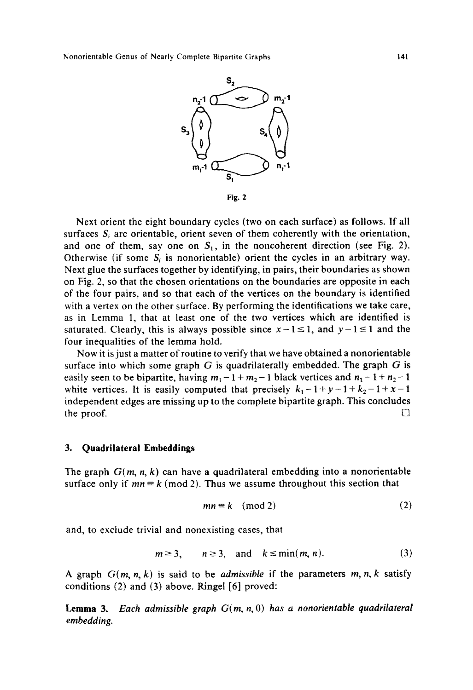

**Fig. 2** 

Next orient the eight boundary cycles (two on each surface) as follows. If all surfaces  $S_i$  are orientable, orient seven of them coherently with the orientation, and one of them, say one on  $S_1$ , in the noncoherent direction (see Fig. 2). Otherwise (if some  $S_i$  is nonorientable) orient the cycles in an arbitrary way. Next glue the surfaces together by identifying, in pairs, their boundaries as shown on Fig. 2, so that the chosen orientations on the boundaries are opposite in each of the four pairs, and so that each of the vertices on the boundary is identified with a vertex on the other surface. By performing the identifications we take care, as in Lemma 1, that at least one of the two vertices which are identified is saturated. Clearly, this is always possible since  $x - 1 \le 1$ , and  $y - 1 \le 1$  and the four inequalities of the lemma hold.

Now it is just a matter of routine to verify that we have obtained a nonorientable surface into which some graph  $G$  is quadrilaterally embedded. The graph  $G$  is easily seen to be bipartite, having  $m_1 - 1 + m_2 - 1$  black vertices and  $n_1 - 1 + n_2 - 1$ white vertices. It is easily computed that precisely  $k_1 - 1 + y - 1 + k_2 - 1 + x - 1$ independent edges are missing up to the complete bipartite graph. This concludes the proof.  $\Box$ 

### **3. Quadrilateral Embeddings**

The graph *G(m, n, k)* can have a quadrilateral embedding into a nonorientable surface only if  $mn \equiv k \pmod{2}$ . Thus we assume throughout this section that

$$
mn \equiv k \pmod{2} \tag{2}
$$

and, to exclude trivial and nonexisting cases, that

$$
m \ge 3, \qquad n \ge 3, \quad \text{and} \quad k \le \min(m, n). \tag{3}
$$

A graph  $G(m, n, k)$  is said to be *admissible* if the parameters  $m, n, k$  satisfy conditions (2) and (3) above. Ringel [6] proved:

**Lemma** 3. *Each admissible graph G(m, n, O) has a nonorientable quadrilateral embedding.*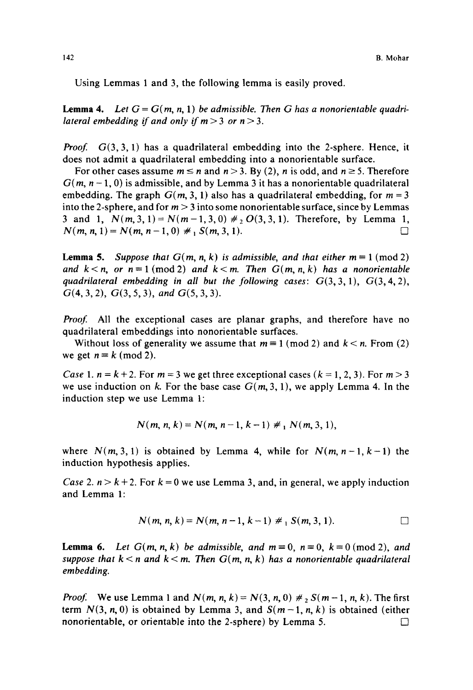Using Lemmas 1 and 3, the following lemma is easily proved.

**Lemma 4.** Let  $G = G(m, n, 1)$  be admissible. Then G has a nonorientable quadri*lateral embedding if and only if*  $m > 3$  *or*  $n > 3$ *.* 

*Proof.*  $G(3, 3, 1)$  has a quadrilateral embedding into the 2-sphere. Hence, it does not admit a quadrilateral embedding into a nonorientable surface.

For other cases assume  $m \le n$  and  $n > 3$ . By (2), n is odd, and  $n \ge 5$ . Therefore  $G(m, n-1, 0)$  is admissible, and by Lemma 3 it has a nonorientable quadrilateral embedding. The graph  $G(m, 3, 1)$  also has a quadrilateral embedding, for  $m = 3$ into the 2-sphere, and for  $m > 3$  into some nonorientable surface, since by Lemmas 3 and 1,  $N(m, 3, 1) = N(m-1, 3, 0) \neq O(3, 3, 1)$ . Therefore, by Lemma 1,  $N(m, n, 1) = N(m, n-1, 0) \neq S(m, 3, 1).$ 

**Lemma 5.** *Suppose that*  $G(m, n, k)$  *is admissible, and that either*  $m \equiv 1 \pmod{2}$ and  $k < n$ , or  $n \equiv 1 \pmod{2}$  and  $k < m$ . Then  $G(m, n, k)$  has a nonorientable quadrilateral embedding in all but the following cases:  $G(3,3,1)$ ,  $G(3,4,2)$ , G(4, 3, 2), G(3, 5, 3), *and* G(5, 3, 3).

Proof. All the exceptional cases are planar graphs, and therefore have no quadrilateral embeddings into nonorientable surfaces.

Without loss of generality we assume that  $m \equiv 1 \pmod{2}$  and  $k < n$ . From (2) we get  $n \equiv k \pmod{2}$ .

*Case* 1.  $n = k + 2$ . For  $m = 3$  we get three exceptional cases  $(k = 1, 2, 3)$ . For  $m > 3$ we use induction on k. For the base case  $G(m, 3, 1)$ , we apply Lemma 4. In the induction step we use Lemma 1:

$$
N(m, n, k) = N(m, n-1, k-1) \neq N(m, 3, 1),
$$

where  $N(m, 3, 1)$  is obtained by Lemma 4, while for  $N(m, n-1, k-1)$  the induction hypothesis applies.

*Case 2.*  $n > k + 2$ . For  $k = 0$  we use Lemma 3, and, in general, we apply induction and Lemma 1:

$$
N(m, n, k) = N(m, n-1, k-1) \neq {}_{1}S(m, 3, 1).
$$

**Lemma 6.** Let  $G(m, n, k)$  be admissible, and  $m \equiv 0$ ,  $n \equiv 0$ ,  $k \equiv 0 \pmod{2}$ , and *suppose that*  $k < n$  and  $k < m$ . Then  $G(m, n, k)$  has a nonorientable quadrilateral *embedding.* 

*Proof.* We use Lemma 1 and  $N(m, n, k) = N(3, n, 0) \neq S(m-1, n, k)$ . The first term  $N(3, n, 0)$  is obtained by Lemma 3, and  $S(m-1, n, k)$  is obtained (either nonorientable, or orientable into the 2-sphere) by Lemma 5.  $\Box$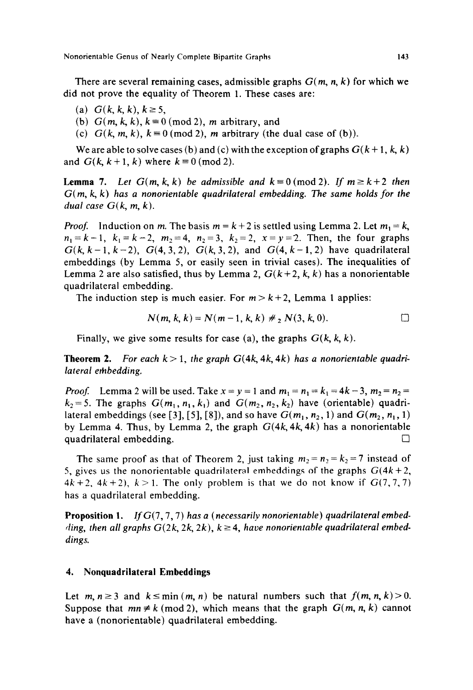Nonorientable Genus of Nearly Complete Bipartite Graphs 143

There are several remaining cases, admissible graphs *G(m, n, k)* for which we did not prove the equality of Theorem 1. These cases are:

- (a)  $G(k, k, k), k \ge 5$ ,
- (b)  $G(m, k, k)$ ,  $k \equiv 0 \pmod{2}$ , *m* arbitrary, and
- (c)  $G(k, m, k)$ ,  $k=0 \pmod{2}$ , m arbitrary (the dual case of (b)).

We are able to solve cases (b) and (c) with the exception of graphs  $G(k+1, k, k)$ and  $G(k, k+1, k)$  where  $k \equiv 0 \pmod{2}$ .

**Lemma** 7. Let  $G(m, k, k)$  be admissible and  $k = 0 \pmod{2}$ . If  $m \geq k+2$  then *G(m, k, k) has a nonorientable quadrilateral embedding. The same holds for the dual case*  $G(k, m, k)$ .

*Proof.* Induction on m. The basis  $m = k + 2$  is settled using Lemma 2. Let  $m_1 = k$ ,  $n_1=k-1$ ,  $k_1=k-2$ ,  $m_2=4$ ,  $n_2=3$ ,  $k_2=2$ ,  $x=y=2$ . Then, the four graphs  $G(k, k-1, k-2)$ ,  $G(4, 3, 2)$ ,  $G(k, 3, 2)$ , and  $G(4, k-1, 2)$  have quadrilateral embeddings (by Lemma 5, or easily seen in trivial cases). The inequalities of Lemma 2 are also satisfied, thus by Lemma 2,  $G(k+2, k, k)$  has a nonorientable quadrilateral embedding.

The induction step is much easier. For  $m > k+2$ , Lemma 1 applies:

$$
N(m, k, k) = N(m-1, k, k) \neq N(3, k, 0).
$$

Finally, we give some results for case (a), the graphs *G(k, k, k).* 

**Theorem 2.** For each  $k > 1$ , the graph  $G(4k, 4k, 4k)$  has a nonorientable quadri*lateral embedding.* 

*Proof.* Lemma 2 will be used. Take  $x = y = 1$  and  $m_1 = n_1 = k_1 = 4k-3$ ,  $m_2 = n_2 = 1$  $k_2=5$ . The graphs  $G(m_1, n_1, k_1)$  and  $G(m_2, n_2, k_2)$  have (orientable) quadrilateral embeddings (see [3], [5], [8]), and so have  $G(m_1, n_2, 1)$  and  $G(m_2, n_1, 1)$ by Lemma 4. Thus, by Lemma 2, the graph *G(4k, 4k, 4k)* has a nonorientable quadrilateral embedding.  $\Box$ 

The same proof as that of Theorem 2, just taking  $m_2 = n_2 = k_2 = 7$  instead of 5, gives us the nonorientable quadrilateral embeddings of the graphs *G(4k+2,*   $4k+2$ ,  $4k+2$ ),  $k>1$ . The only problem is that we do not know if  $G(7,7,7)$ has a quadrilateral embedding.

**Proposition** 1. *If G(7,* 7, 7) *has a (necessarily nonorientable ) quadrilateral embed-* $\langle \text{diag}, \text{ then all graphs } G(2k, 2k, 2k), k \geq 4, \text{ have nonorientable quadrilateral embed-}$ *dings.* 

# **4. Nonquadrilaterai Embeddings**

Let  $m, n \ge 3$  and  $k \le min(m, n)$  be natural numbers such that  $f(m, n, k) > 0$ . Suppose that  $mn \neq k \pmod{2}$ , which means that the graph  $G(m, n, k)$  cannot have a (nonorientable) quadrilateral embedding.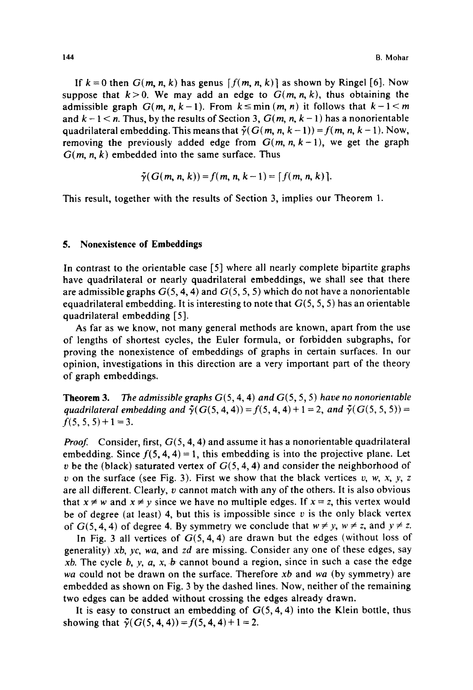If  $k = 0$  then  $G(m, n, k)$  has genus  $[f(m, n, k)]$  as shown by Ringel [6]. Now suppose that  $k>0$ . We may add an edge to  $G(m, n, k)$ , thus obtaining the admissible graph  $G(m, n, k-1)$ . From  $k \leq min(m, n)$  it follows that  $k-1 \leq m$ and  $k - 1 < n$ . Thus, by the results of Section 3,  $G(m, n, k - 1)$  has a nonorientable quadrilateral embedding. This means that  $\tilde{\gamma}(G(m, n, k-1)) = f(m, n, k-1)$ . Now, removing the previously added edge from  $G(m, n, k-1)$ , we get the graph  $G(m, n, k)$  embedded into the same surface. Thus

$$
\tilde{\gamma}(G(m, n, k)) = f(m, n, k-1) = [f(m, n, k)].
$$

This result, together with the results of Section 3, implies our Theorem 1.

# **5. Nonexistence of Embeddings**

In contrast to the orientable case [5] where all nearly complete bipartite graphs have quadrilateral or nearly quadrilateral embeddings, we shall see that there are admissible graphs  $G(5, 4, 4)$  and  $G(5, 5, 5)$  which do not have a nonorientable equadrilateral embedding. It is interesting to note that  $G(5, 5, 5)$  has an orientable quadrilateral embedding [5].

As far as we know, not many general methods are known, apart from the use of lengths of shortest cycles, the Euler formula, or forbidden subgraphs, for proving the nonexistence of embeddings of graphs in certain surfaces. In our opinion, investigations in this direction are a very important part of the theory of graph embeddings.

**Theorem** 3. The *admissible graphs* G(5, 4, 4) *and* G(5, 5, 5) *have no nonorientable quadrilateral embedding and*  $\tilde{\gamma}(G(5, 4, 4)) = f(5, 4, 4) + 1 = 2$ , *and*  $\tilde{\gamma}(G(5, 5, 5)) =$  $f(5, 5, 5) + 1 = 3.$ 

*Proof.* Consider, first,  $G(5, 4, 4)$  and assume it has a nonorientable quadrilateral embedding. Since  $f(5, 4, 4) = 1$ , this embedding is into the projective plane. Let v be the (black) saturated vertex of  $G(5, 4, 4)$  and consider the neighborhood of v on the surface (see Fig. 3). First we show that the black vertices v, w, x, y, z are all different. Clearly,  $v$  cannot match with any of the others. It is also obvious that  $x \neq w$  and  $x \neq y$  since we have no multiple edges. If  $x = z$ , this vertex would be of degree (at least) 4, but this is impossible since  $v$  is the only black vertex of  $G(5, 4, 4)$  of degree 4. By symmetry we conclude that  $w \neq y$ ,  $w \neq z$ , and  $y \neq z$ .

In Fig. 3 all vertices of  $G(5, 4, 4)$  are drawn but the edges (without loss of generality) *xb, yc, wa,* and *zd* are missing. Consider any one of these edges, say *xb.* The cycle b, y, a, x, b cannot bound a region, since in such a case the edge *wa* could not be drawn on the surface. Therefore *xb* and *wa* (by symmetry) are embedded as shown on Fig. 3 by the dashed lines. Now, neither of the remaining two edges can be added without crossing the edges already drawn.

It is easy to construct an embedding of  $G(5, 4, 4)$  into the Klein bottle, thus showing that  $\tilde{\gamma}(G(5, 4, 4)) = f(5, 4, 4) + 1 = 2$ .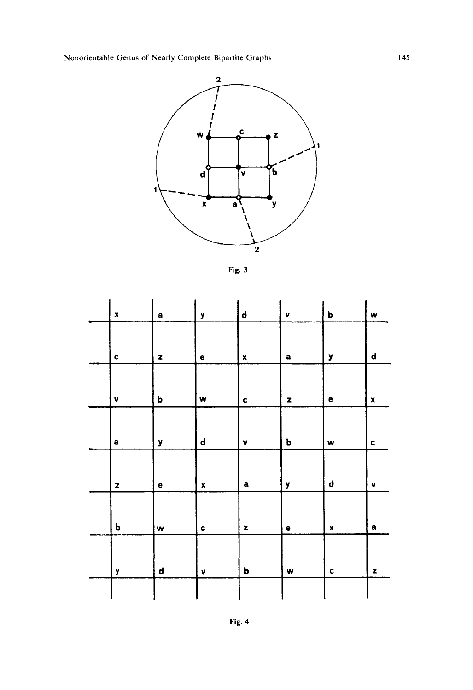Nonorientable Genus of Nearly Complete Bipartite Graphs



Fig. 3

| $\pmb{\mathsf{x}}$ | $\mathbf a$  | y                  | $\boldsymbol{\mathsf{d}}$ | v            | b                  | w                  |
|--------------------|--------------|--------------------|---------------------------|--------------|--------------------|--------------------|
|                    |              |                    |                           |              |                    |                    |
| C                  | $\mathbf{z}$ | е                  | $\pmb{\mathsf{x}}$        | a            | у                  | d                  |
|                    |              |                    |                           |              |                    |                    |
| V                  | b            | w                  | $\mathbf c$               | $\mathbf{z}$ | e                  | $\pmb{\mathsf{x}}$ |
|                    |              |                    |                           |              |                    |                    |
| a                  | у            | $\mathbf d$        | v                         | b            | W                  | c                  |
|                    |              |                    |                           |              |                    |                    |
| $\pmb{z}$          | е            | $\pmb{\mathsf{x}}$ | a                         | y            | d                  | v                  |
|                    |              |                    |                           |              |                    |                    |
| b                  | W            | $\mathbf c$        | z                         | e            | $\pmb{\mathsf{x}}$ | $\mathbf a$        |
|                    |              |                    |                           |              |                    |                    |
| у                  | d            | $\pmb{\mathsf{v}}$ | b                         | w            | $\mathbf c$        | z                  |
|                    |              |                    |                           |              |                    |                    |

Fig. 4